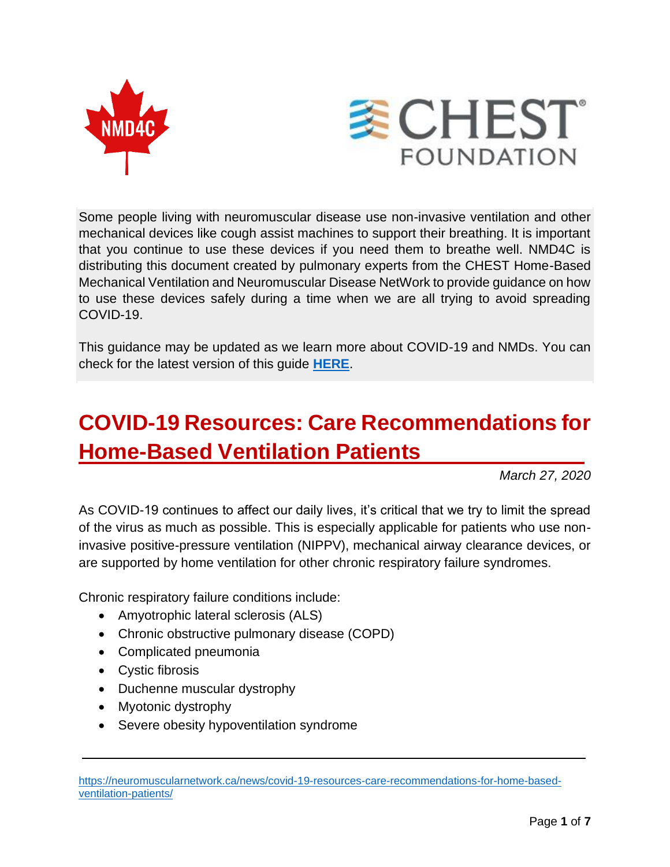



Some people living with neuromuscular disease use non-invasive ventilation and other mechanical devices like cough assist machines to support their breathing. It is important that you continue to use these devices if you need them to breathe well. NMD4C is distributing this document created by pulmonary experts from the CHEST Home-Based Mechanical Ventilation and Neuromuscular Disease NetWork to provide guidance on how to use these devices safely during a time when we are all trying to avoid spreading COVID-19.

This guidance may be updated as we learn more about COVID-19 and NMDs. You can check for the latest version of this guide **[HERE](https://neuromuscularnetwork.ca/news/covid-19-resources-care-recommendations-for-home-based-ventilation-patients/)**.

# **COVID-19 Resources: Care Recommendations for Home-Based Ventilation Patients .**

*March 27, 2020*

As COVID-19 continues to affect our daily lives, it's critical that we try to limit the spread of the virus as much as possible. This is especially applicable for patients who use noninvasive positive-pressure ventilation (NIPPV), mechanical airway clearance devices, or are supported by home ventilation for other chronic respiratory failure syndromes.

Chronic respiratory failure conditions include:

- Amyotrophic lateral sclerosis (ALS)
- Chronic obstructive pulmonary disease (COPD)
- Complicated pneumonia
- Cystic fibrosis
- Duchenne muscular dystrophy
- Myotonic dystrophy
- Severe obesity hypoventilation syndrome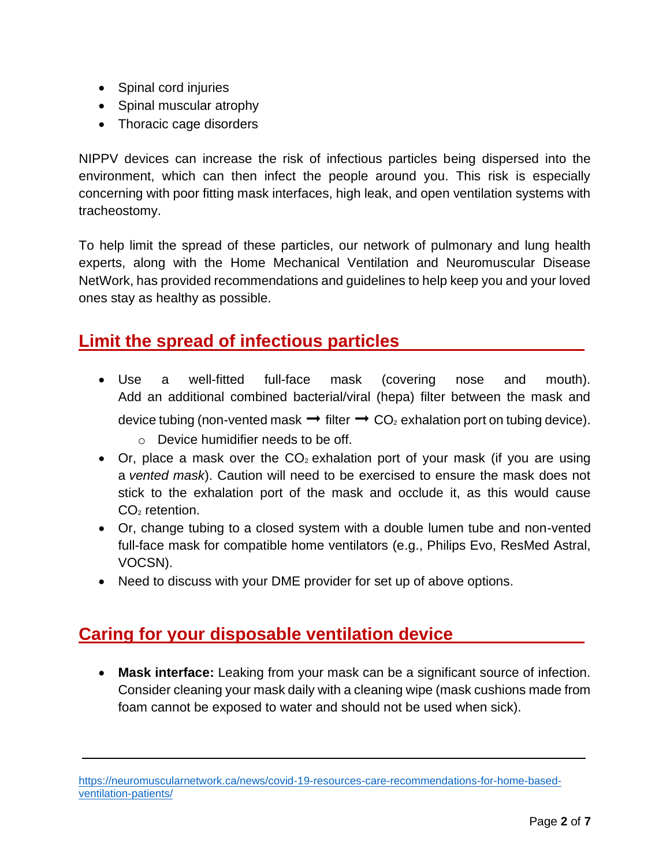- Spinal cord injuries
- Spinal muscular atrophy
- Thoracic cage disorders

NIPPV devices can increase the risk of infectious particles being dispersed into the environment, which can then infect the people around you. This risk is especially concerning with poor fitting mask interfaces, high leak, and open ventilation systems with tracheostomy.

To help limit the spread of these particles, our network of pulmonary and lung health experts, along with the Home Mechanical Ventilation and Neuromuscular Disease NetWork, has provided recommendations and guidelines to help keep you and your loved ones stay as healthy as possible.

# **Limit the spread of infectious particles .**

- Use a well-fitted full-face mask (covering nose and mouth). Add an additional combined bacterial/viral (hepa) filter between the mask and device tubing (non-vented mask  $→$  filter  $→$  CO<sub>2</sub> exhalation port on tubing device).
	- o Device humidifier needs to be off.
- Or, place a mask over the  $CO<sub>2</sub>$  exhalation port of your mask (if you are using a *vented mask*). Caution will need to be exercised to ensure the mask does not stick to the exhalation port of the mask and occlude it, as this would cause  $CO<sub>2</sub>$  retention.
- Or, change tubing to a closed system with a double lumen tube and non-vented full-face mask for compatible home ventilators (e.g., Philips Evo, ResMed Astral, VOCSN).
- Need to discuss with your DME provider for set up of above options.

# **Caring for your disposable ventilation device .**

• **Mask interface:** Leaking from your mask can be a significant source of infection. Consider cleaning your mask daily with a cleaning wipe (mask cushions made from foam cannot be exposed to water and should not be used when sick).

[https://neuromuscularnetwork.ca/news/covid-19-resources-care-recommendations-for-home-based](https://neuromuscularnetwork.ca/news/covid-19-resources-care-recommendations-for-home-based-ventilation-patients/)[ventilation-patients/](https://neuromuscularnetwork.ca/news/covid-19-resources-care-recommendations-for-home-based-ventilation-patients/)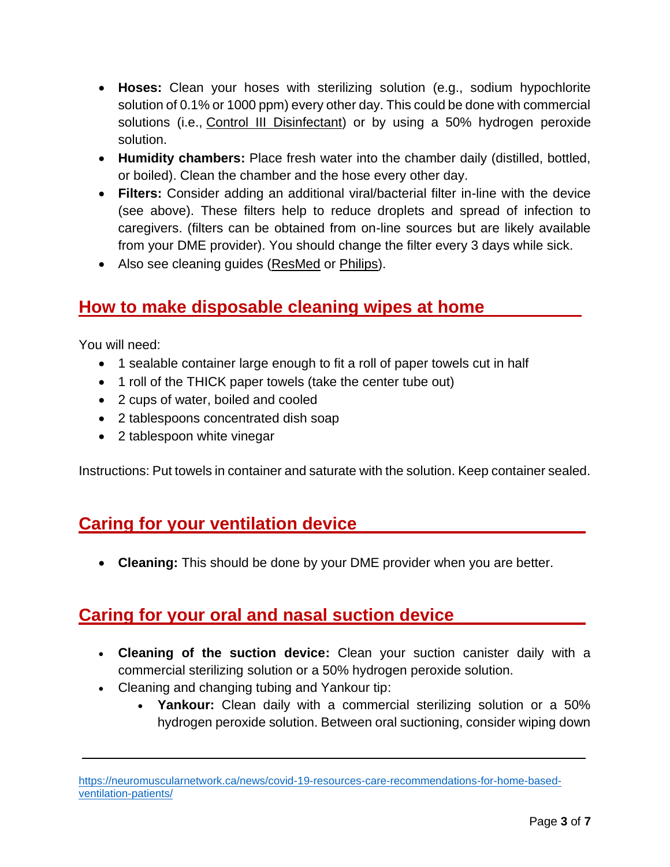- **Hoses:** Clean your hoses with sterilizing solution (e.g., sodium hypochlorite solution of 0.1% or 1000 ppm) every other day. This could be done with commercial solutions (i.e., [Control III Disinfectant\)](http://www.controlthree.com/) or by using a 50% hydrogen peroxide solution.
- **Humidity chambers:** Place fresh water into the chamber daily (distilled, bottled, or boiled). Clean the chamber and the hose every other day.
- **Filters:** Consider adding an additional viral/bacterial filter in-line with the device (see above). These filters help to reduce droplets and spread of infection to caregivers. (filters can be obtained from on-line sources but are likely available from your DME provider). You should change the filter every 3 days while sick.
- Also see cleaning guides [\(ResMed](https://www.resmed.com/en-us/sleep-apnea/cpap-parts-support/cleaning-cpap-equipment/) or [Philips\)](https://www.usa.philips.com/c-e/hs/better-sleep-breathing-blog/better-sleep/keeping-it-clean-cpap.html).

#### **How to make disposable cleaning wipes at home .**

You will need:

- 1 sealable container large enough to fit a roll of paper towels cut in half
- 1 roll of the THICK paper towels (take the center tube out)
- 2 cups of water, boiled and cooled
- 2 tablespoons concentrated dish soap
- 2 tablespoon white vinegar

Instructions: Put towels in container and saturate with the solution. Keep container sealed.

#### **Caring for your ventilation device .**

• **Cleaning:** This should be done by your DME provider when you are better.

# **Caring for your oral and nasal suction device .**

- **Cleaning of the suction device:** Clean your suction canister daily with a commercial sterilizing solution or a 50% hydrogen peroxide solution.
- Cleaning and changing tubing and Yankour tip:
	- **Yankour:** Clean daily with a commercial sterilizing solution or a 50% hydrogen peroxide solution. Between oral suctioning, consider wiping down

[https://neuromuscularnetwork.ca/news/covid-19-resources-care-recommendations-for-home-based](https://neuromuscularnetwork.ca/news/covid-19-resources-care-recommendations-for-home-based-ventilation-patients/)[ventilation-patients/](https://neuromuscularnetwork.ca/news/covid-19-resources-care-recommendations-for-home-based-ventilation-patients/)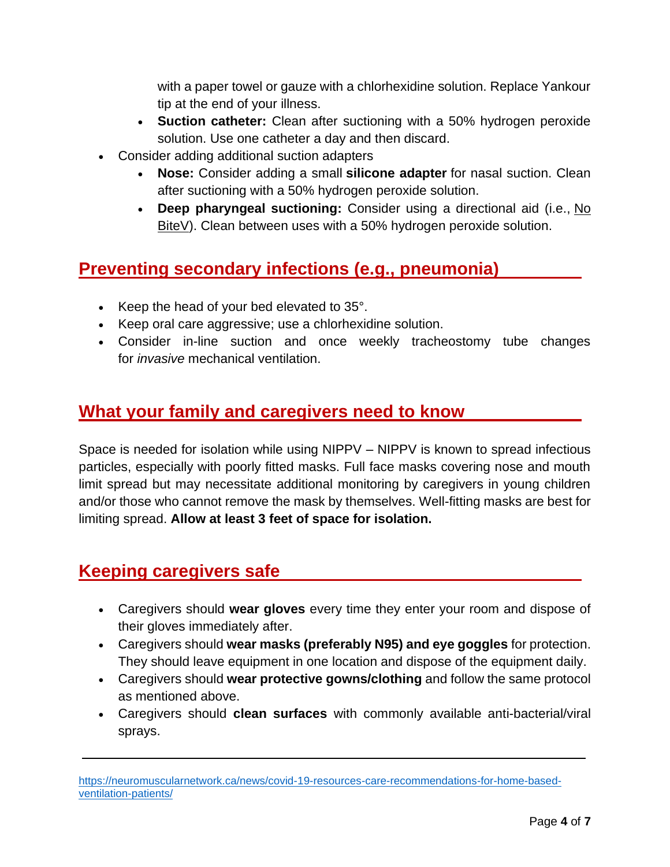with a paper towel or gauze with a chlorhexidine solution. Replace Yankour tip at the end of your illness.

- **Suction catheter:** Clean after suctioning with a 50% hydrogen peroxide solution. Use one catheter a day and then discard.
- Consider adding additional suction adapters
	- **Nose:** Consider adding a small **[silicone adapter](https://www.neotechproducts.com/product/little-sucker/)** for nasal suction. Clean after suctioning with a 50% hydrogen peroxide solution.
	- **Deep pharyngeal suctioning:** Consider using a directional aid (i.e., [No](http://www.njrmedical.com/no_bite_v.php)  [BiteV\)](http://www.njrmedical.com/no_bite_v.php). Clean between uses with a 50% hydrogen peroxide solution.

# **Preventing secondary infections (e.g., pneumonia) .**

- Keep the head of your bed elevated to 35°.
- Keep oral care aggressive; use a chlorhexidine solution.
- Consider in-line suction and once weekly tracheostomy tube changes for *invasive* mechanical ventilation.

#### **What your family and caregivers need to know .**

Space is needed for isolation while using NIPPV – NIPPV is known to spread infectious particles, especially with poorly fitted masks. Full face masks covering nose and mouth limit spread but may necessitate additional monitoring by caregivers in young children and/or those who cannot remove the mask by themselves. Well-fitting masks are best for limiting spread. **Allow at least 3 feet of space for isolation.**

# **Keeping caregivers safe .**

- Caregivers should **wear gloves** every time they enter your room and dispose of their gloves immediately after.
- Caregivers should **wear masks (preferably N95) and eye goggles** for protection. They should leave equipment in one location and dispose of the equipment daily.
- Caregivers should **wear protective gowns/clothing** and follow the same protocol as mentioned above.
- Caregivers should **clean surfaces** with commonly available anti-bacterial/viral sprays.

[https://neuromuscularnetwork.ca/news/covid-19-resources-care-recommendations-for-home-based](https://neuromuscularnetwork.ca/news/covid-19-resources-care-recommendations-for-home-based-ventilation-patients/)[ventilation-patients/](https://neuromuscularnetwork.ca/news/covid-19-resources-care-recommendations-for-home-based-ventilation-patients/)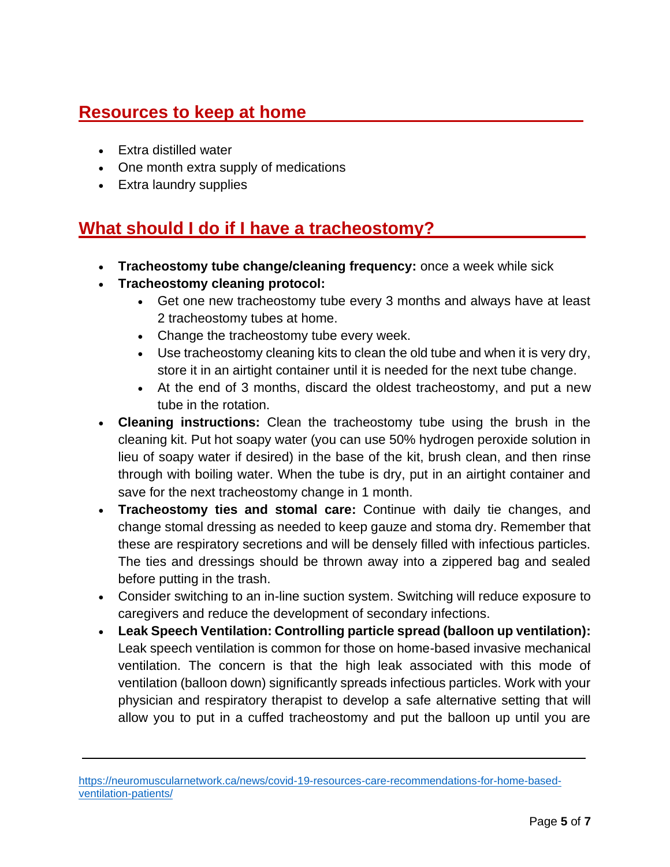# **Resources to keep at home .**

- Extra distilled water
- One month extra supply of medications
- Extra laundry supplies

# **What should I do if I have a tracheostomy? .**

- **Tracheostomy tube change/cleaning frequency:** once a week while sick
- **Tracheostomy cleaning protocol:**
	- Get one new tracheostomy tube every 3 months and always have at least 2 tracheostomy tubes at home.
	- Change the tracheostomy tube every week.
	- Use tracheostomy cleaning kits to clean the old tube and when it is very dry, store it in an airtight container until it is needed for the next tube change.
	- At the end of 3 months, discard the oldest tracheostomy, and put a new tube in the rotation.
- **Cleaning instructions:** Clean the tracheostomy tube using the brush in the cleaning kit. Put hot soapy water (you can use 50% hydrogen peroxide solution in lieu of soapy water if desired) in the base of the kit, brush clean, and then rinse through with boiling water. When the tube is dry, put in an airtight container and save for the next tracheostomy change in 1 month.
- **Tracheostomy ties and stomal care:** Continue with daily tie changes, and change stomal dressing as needed to keep gauze and stoma dry. Remember that these are respiratory secretions and will be densely filled with infectious particles. The ties and dressings should be thrown away into a zippered bag and sealed before putting in the trash.
- Consider switching to an in-line suction system. Switching will reduce exposure to caregivers and reduce the development of secondary infections.
- **Leak Speech Ventilation: Controlling particle spread (balloon up ventilation):** Leak speech ventilation is common for those on home-based invasive mechanical ventilation. The concern is that the high leak associated with this mode of ventilation (balloon down) significantly spreads infectious particles. Work with your physician and respiratory therapist to develop a safe alternative setting that will allow you to put in a cuffed tracheostomy and put the balloon up until you are

[https://neuromuscularnetwork.ca/news/covid-19-resources-care-recommendations-for-home-based](https://neuromuscularnetwork.ca/news/covid-19-resources-care-recommendations-for-home-based-ventilation-patients/)[ventilation-patients/](https://neuromuscularnetwork.ca/news/covid-19-resources-care-recommendations-for-home-based-ventilation-patients/)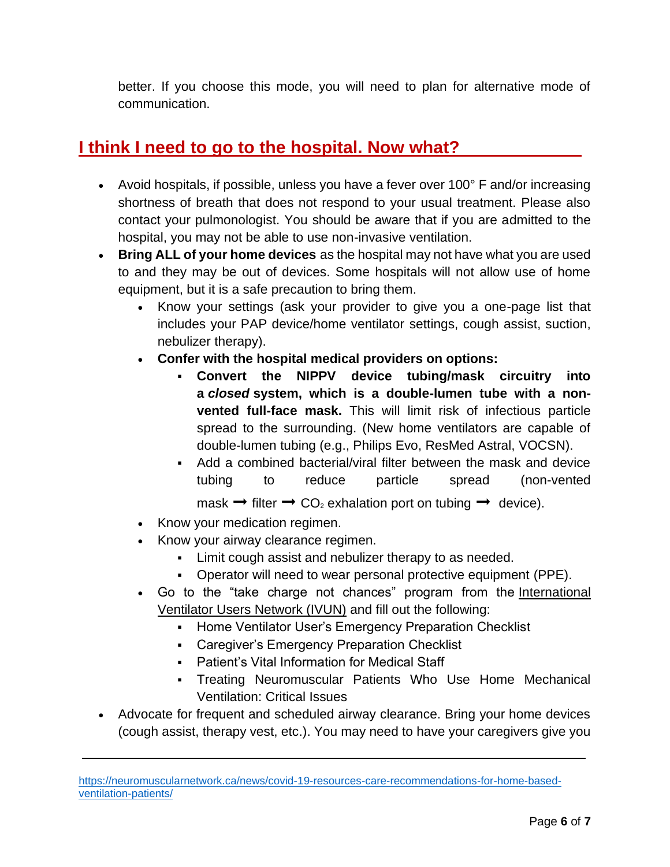better. If you choose this mode, you will need to plan for alternative mode of communication.

#### **I think I need to go to the hospital. Now what? .**

- Avoid hospitals, if possible, unless you have a fever over 100° F and/or increasing shortness of breath that does not respond to your usual treatment. Please also contact your pulmonologist. You should be aware that if you are admitted to the hospital, you may not be able to use non-invasive ventilation.
- **Bring ALL of your home devices** as the hospital may not have what you are used to and they may be out of devices. Some hospitals will not allow use of home equipment, but it is a safe precaution to bring them.
	- Know your settings (ask your provider to give you a one-page list that includes your PAP device/home ventilator settings, cough assist, suction, nebulizer therapy).
	- **Confer with the hospital medical providers on options:**
		- **Convert the NIPPV device tubing/mask circuitry into a** *closed* **system, which is a double-lumen tube with a nonvented full-face mask.** This will limit risk of infectious particle spread to the surrounding. (New home ventilators are capable of double-lumen tubing (e.g., Philips Evo, ResMed Astral, VOCSN).
		- Add a combined bacterial/viral filter between the mask and device tubing to reduce particle spread (non-vented mask  $\rightarrow$  filter  $\rightarrow$  CO<sub>2</sub> exhalation port on tubing  $\rightarrow$  device).
	- Know your medication regimen.
	- Know your airway clearance regimen.
		- Limit cough assist and nebulizer therapy to as needed.
		- Operator will need to wear personal protective equipment (PPE).
	- Go to the "take charge not chances" program from the International [Ventilator Users Network \(IVUN\)](http://www.ventusers.org/vume/index.html) and fill out the following:
		- **EXEDENT Home Ventilator User's Emergency Preparation Checklist**
		- Caregiver's Emergency Preparation Checklist
		- Patient's Vital Information for Medical Staff
		- Treating Neuromuscular Patients Who Use Home Mechanical Ventilation: Critical Issues
- Advocate for frequent and scheduled airway clearance. Bring your home devices (cough assist, therapy vest, etc.). You may need to have your caregivers give you

[https://neuromuscularnetwork.ca/news/covid-19-resources-care-recommendations-for-home-based](https://neuromuscularnetwork.ca/news/covid-19-resources-care-recommendations-for-home-based-ventilation-patients/)[ventilation-patients/](https://neuromuscularnetwork.ca/news/covid-19-resources-care-recommendations-for-home-based-ventilation-patients/)